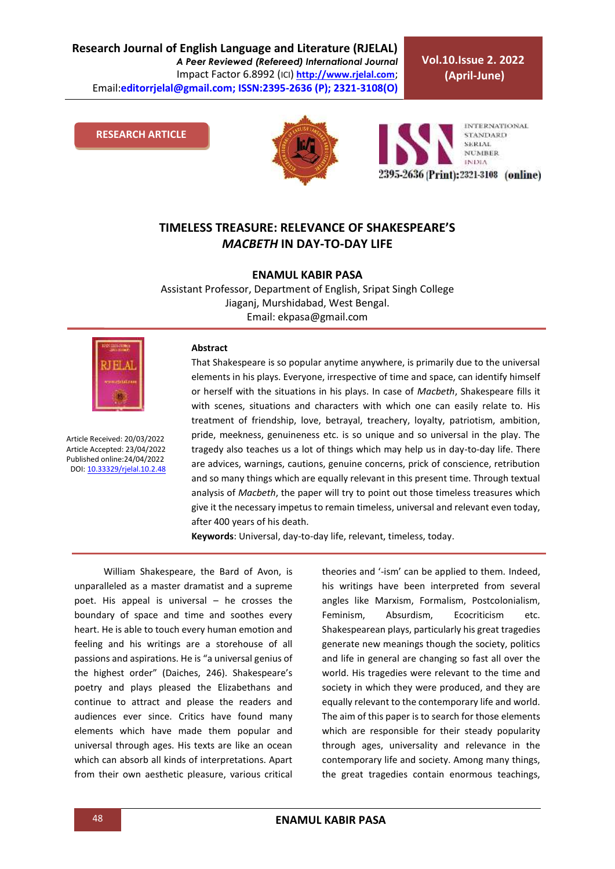**Research Journal of English Language and Literature (RJELAL)** *A Peer Reviewed (Refereed) International Journal* Impact Factor 6.8992 (ICI) **[http://www.rjelal.com](http://www.rjelal.com/)**; Email:**editorrjelal@gmail.com; ISSN:2395-2636 (P); 2321-3108(O)** 

**Vol.10.Issue 2. 2022 (April-June)**

**RESEARCH ARTICLE**





## **TIMELESS TREASURE: RELEVANCE OF SHAKESPEARE'S**  *MACBETH* **IN DAY-TO-DAY LIFE**

**ENAMUL KABIR PASA**

Assistant Professor, Department of English, Sripat Singh College Jiaganj, Murshidabad, West Bengal. Email: ekpasa@gmail.com



Article Received: 20/03/2022 Article Accepted: 23/04/2022 Published online:24/04/2022 DOI[: 10.33329/rjelal.10.2.4](http://www.rjelal.com/)8

## **Abstract**

That Shakespeare is so popular anytime anywhere, is primarily due to the universal elements in his plays. Everyone, irrespective of time and space, can identify himself or herself with the situations in his plays. In case of *Macbeth*, Shakespeare fills it with scenes, situations and characters with which one can easily relate to. His treatment of friendship, love, betrayal, treachery, loyalty, patriotism, ambition, pride, meekness, genuineness etc. is so unique and so universal in the play. The tragedy also teaches us a lot of things which may help us in day-to-day life. There are advices, warnings, cautions, genuine concerns, prick of conscience, retribution and so many things which are equally relevant in this present time. Through textual analysis of *Macbeth*, the paper will try to point out those timeless treasures which give it the necessary impetus to remain timeless, universal and relevant even today, after 400 years of his death.

**Keywords**: Universal, day-to-day life, relevant, timeless, today.

William Shakespeare, the Bard of Avon, is unparalleled as a master dramatist and a supreme poet. His appeal is universal – he crosses the boundary of space and time and soothes every heart. He is able to touch every human emotion and feeling and his writings are a storehouse of all passions and aspirations. He is "a universal genius of the highest order" (Daiches, 246). Shakespeare's poetry and plays pleased the Elizabethans and continue to attract and please the readers and audiences ever since. Critics have found many elements which have made them popular and universal through ages. His texts are like an ocean which can absorb all kinds of interpretations. Apart from their own aesthetic pleasure, various critical theories and '-ism' can be applied to them. Indeed, his writings have been interpreted from several angles like Marxism, Formalism, Postcolonialism, Feminism, Absurdism, Ecocriticism etc. Shakespearean plays, particularly his great tragedies generate new meanings though the society, politics and life in general are changing so fast all over the world. His tragedies were relevant to the time and society in which they were produced, and they are equally relevant to the contemporary life and world. The aim of this paper is to search for those elements which are responsible for their steady popularity through ages, universality and relevance in the contemporary life and society. Among many things, the great tragedies contain enormous teachings,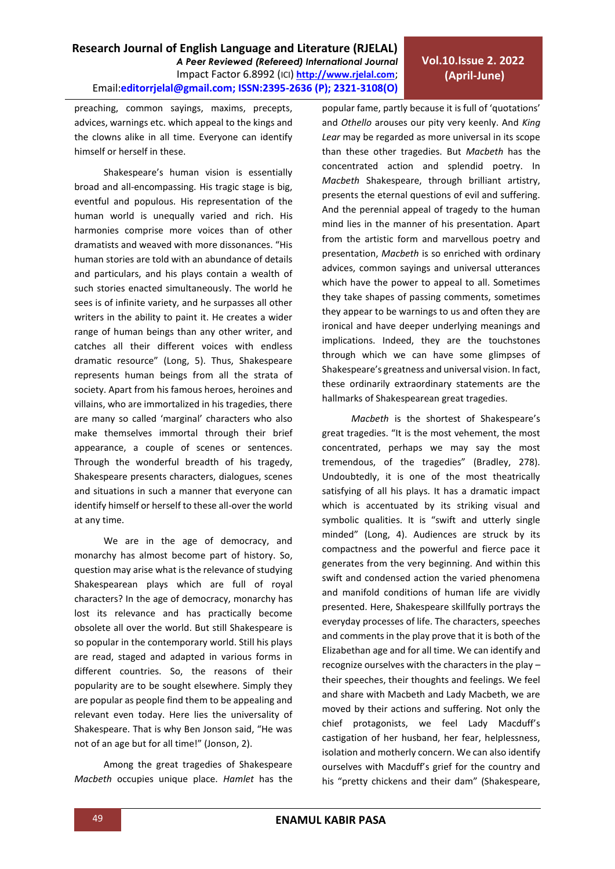human stories are told with an abundance of details and particulars, and his plays contain a wealth of such stories enacted simultaneously. The world he sees is of infinite variety, and he surpasses all other writers in the ability to paint it. He creates a wider range of human beings than any other writer, and catches all their different voices with endless dramatic resource" (Long, 5). Thus, Shakespeare represents human beings from all the strata of society. Apart from his famous heroes, heroines and villains, who are immortalized in his tragedies, there are many so called 'marginal' characters who also make themselves immortal through their brief appearance, a couple of scenes or sentences. Through the wonderful breadth of his tragedy, Shakespeare presents characters, dialogues, scenes and situations in such a manner that everyone can identify himself or herself to these all-over the world at any time.

preaching, common sayings, maxims, precepts, advices, warnings etc. which appeal to the kings and the clowns alike in all time. Everyone can identify

Shakespeare's human vision is essentially broad and all-encompassing. His tragic stage is big, eventful and populous. His representation of the

himself or herself in these.

We are in the age of democracy, and monarchy has almost become part of history. So, question may arise what is the relevance of studying Shakespearean plays which are full of royal characters? In the age of democracy, monarchy has lost its relevance and has practically become obsolete all over the world. But still Shakespeare is so popular in the contemporary world. Still his plays are read, staged and adapted in various forms in different countries. So, the reasons of their popularity are to be sought elsewhere. Simply they are popular as people find them to be appealing and relevant even today. Here lies the universality of Shakespeare. That is why Ben Jonson said, "He was not of an age but for all time!" (Jonson, 2).

Among the great tragedies of Shakespeare *Macbeth* occupies unique place. *Hamlet* has the popular fame, partly because it is full of 'quotations' and *Othello* arouses our pity very keenly. And *King Lear* may be regarded as more universal in its scope than these other tragedies. But *Macbeth* has the concentrated action and splendid poetry. In *Macbeth* Shakespeare, through brilliant artistry, presents the eternal questions of evil and suffering. And the perennial appeal of tragedy to the human mind lies in the manner of his presentation. Apart from the artistic form and marvellous poetry and presentation, *Macbeth* is so enriched with ordinary advices, common sayings and universal utterances which have the power to appeal to all. Sometimes they take shapes of passing comments, sometimes they appear to be warnings to us and often they are ironical and have deeper underlying meanings and implications. Indeed, they are the touchstones

**Vol.10.Issue 2. 2022 (April-June)**

through which we can have some glimpses of Shakespeare's greatness and universal vision. In fact, these ordinarily extraordinary statements are the hallmarks of Shakespearean great tragedies.

*Macbeth* is the shortest of Shakespeare's great tragedies. "It is the most vehement, the most concentrated, perhaps we may say the most tremendous, of the tragedies" (Bradley, 278). Undoubtedly, it is one of the most theatrically satisfying of all his plays. It has a dramatic impact which is accentuated by its striking visual and symbolic qualities. It is "swift and utterly single minded" (Long, 4). Audiences are struck by its compactness and the powerful and fierce pace it generates from the very beginning. And within this swift and condensed action the varied phenomena and manifold conditions of human life are vividly presented. Here, Shakespeare skillfully portrays the everyday processes of life. The characters, speeches and comments in the play prove that it is both of the Elizabethan age and for all time. We can identify and recognize ourselves with the characters in the play – their speeches, their thoughts and feelings. We feel and share with Macbeth and Lady Macbeth, we are moved by their actions and suffering. Not only the chief protagonists, we feel Lady Macduff's castigation of her husband, her fear, helplessness, isolation and motherly concern. We can also identify ourselves with Macduff's grief for the country and his "pretty chickens and their dam" (Shakespeare,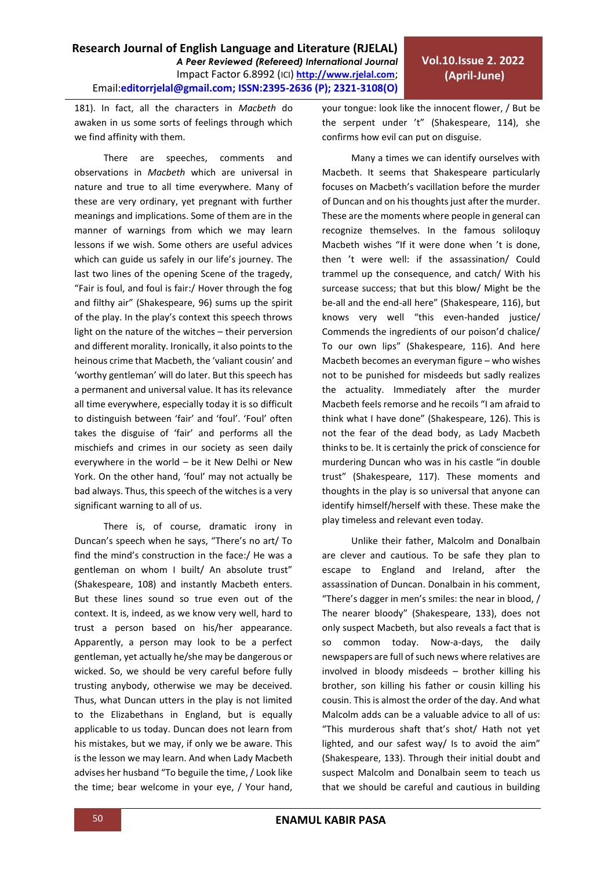181). In fact, all the characters in *Macbeth* do awaken in us some sorts of feelings through which we find affinity with them.

There are speeches, comments and observations in *Macbeth* which are universal in nature and true to all time everywhere. Many of these are very ordinary, yet pregnant with further meanings and implications. Some of them are in the manner of warnings from which we may learn lessons if we wish. Some others are useful advices which can guide us safely in our life's journey. The last two lines of the opening Scene of the tragedy, "Fair is foul, and foul is fair:/ Hover through the fog and filthy air" (Shakespeare, 96) sums up the spirit of the play. In the play's context this speech throws light on the nature of the witches – their perversion and different morality. Ironically, it also points to the heinous crime that Macbeth, the 'valiant cousin' and 'worthy gentleman' will do later. But this speech has a permanent and universal value. It has its relevance all time everywhere, especially today it is so difficult to distinguish between 'fair' and 'foul'. 'Foul' often takes the disguise of 'fair' and performs all the mischiefs and crimes in our society as seen daily everywhere in the world – be it New Delhi or New York. On the other hand, 'foul' may not actually be bad always. Thus, this speech of the witches is a very significant warning to all of us.

There is, of course, dramatic irony in Duncan's speech when he says, "There's no art/ To find the mind's construction in the face:/ He was a gentleman on whom I built/ An absolute trust" (Shakespeare, 108) and instantly Macbeth enters. But these lines sound so true even out of the context. It is, indeed, as we know very well, hard to trust a person based on his/her appearance. Apparently, a person may look to be a perfect gentleman, yet actually he/she may be dangerous or wicked. So, we should be very careful before fully trusting anybody, otherwise we may be deceived. Thus, what Duncan utters in the play is not limited to the Elizabethans in England, but is equally applicable to us today. Duncan does not learn from his mistakes, but we may, if only we be aware. This is the lesson we may learn. And when Lady Macbeth advises her husband "To beguile the time, / Look like the time; bear welcome in your eye, / Your hand, your tongue: look like the innocent flower, / But be the serpent under 't" (Shakespeare, 114), she confirms how evil can put on disguise.

Many a times we can identify ourselves with Macbeth. It seems that Shakespeare particularly focuses on Macbeth's vacillation before the murder of Duncan and on his thoughts just after the murder. These are the moments where people in general can recognize themselves. In the famous soliloquy Macbeth wishes "If it were done when 't is done, then 't were well: if the assassination/ Could trammel up the consequence, and catch/ With his surcease success; that but this blow/ Might be the be-all and the end-all here" (Shakespeare, 116), but knows very well "this even-handed justice/ Commends the ingredients of our poison'd chalice/ To our own lips" (Shakespeare, 116). And here Macbeth becomes an everyman figure – who wishes not to be punished for misdeeds but sadly realizes the actuality. Immediately after the murder Macbeth feels remorse and he recoils "I am afraid to think what I have done" (Shakespeare, 126). This is not the fear of the dead body, as Lady Macbeth thinks to be. It is certainly the prick of conscience for murdering Duncan who was in his castle "in double trust" (Shakespeare, 117). These moments and thoughts in the play is so universal that anyone can identify himself/herself with these. These make the play timeless and relevant even today.

Unlike their father, Malcolm and Donalbain are clever and cautious. To be safe they plan to escape to England and Ireland, after the assassination of Duncan. Donalbain in his comment, "There's dagger in men's smiles: the near in blood, / The nearer bloody" (Shakespeare, 133), does not only suspect Macbeth, but also reveals a fact that is so common today. Now-a-days, the daily newspapers are full of such news where relatives are involved in bloody misdeeds – brother killing his brother, son killing his father or cousin killing his cousin. This is almost the order of the day. And what Malcolm adds can be a valuable advice to all of us: "This murderous shaft that's shot/ Hath not yet lighted, and our safest way/ Is to avoid the aim" (Shakespeare, 133). Through their initial doubt and suspect Malcolm and Donalbain seem to teach us that we should be careful and cautious in building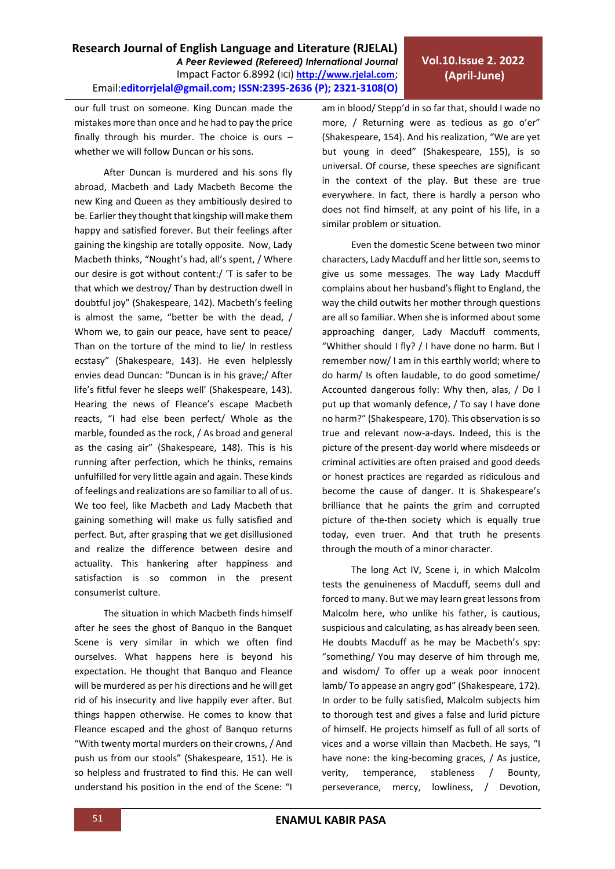**Research Journal of English Language and Literature (RJELAL)** *A Peer Reviewed (Refereed) International Journal* Impact Factor 6.8992 (ICI) **[http://www.rjelal.com](http://www.rjelal.com/)**; Email:**editorrjelal@gmail.com; ISSN:2395-2636 (P); 2321-3108(O)** 

our full trust on someone. King Duncan made the mistakes more than once and he had to pay the price finally through his murder. The choice is ours – whether we will follow Duncan or his sons.

After Duncan is murdered and his sons fly abroad, Macbeth and Lady Macbeth Become the new King and Queen as they ambitiously desired to be. Earlier they thought that kingship will make them happy and satisfied forever. But their feelings after gaining the kingship are totally opposite. Now, Lady Macbeth thinks, "Nought's had, all's spent, / Where our desire is got without content:/ 'T is safer to be that which we destroy/ Than by destruction dwell in doubtful joy" (Shakespeare, 142). Macbeth's feeling is almost the same, "better be with the dead, / Whom we, to gain our peace, have sent to peace/ Than on the torture of the mind to lie/ In restless ecstasy" (Shakespeare, 143). He even helplessly envies dead Duncan: "Duncan is in his grave;/ After life's fitful fever he sleeps well' (Shakespeare, 143). Hearing the news of Fleance's escape Macbeth reacts, "I had else been perfect/ Whole as the marble, founded as the rock, / As broad and general as the casing air" (Shakespeare, 148). This is his running after perfection, which he thinks, remains unfulfilled for very little again and again. These kinds of feelings and realizations are so familiar to all of us. We too feel, like Macbeth and Lady Macbeth that gaining something will make us fully satisfied and perfect. But, after grasping that we get disillusioned and realize the difference between desire and actuality. This hankering after happiness and satisfaction is so common in the present consumerist culture.

The situation in which Macbeth finds himself after he sees the ghost of Banquo in the Banquet Scene is very similar in which we often find ourselves. What happens here is beyond his expectation. He thought that Banquo and Fleance will be murdered as per his directions and he will get rid of his insecurity and live happily ever after. But things happen otherwise. He comes to know that Fleance escaped and the ghost of Banquo returns "With twenty mortal murders on their crowns, / And push us from our stools" (Shakespeare, 151). He is so helpless and frustrated to find this. He can well understand his position in the end of the Scene: "I am in blood/ Stepp'd in so far that, should I wade no more, / Returning were as tedious as go o'er" (Shakespeare, 154). And his realization, "We are yet but young in deed" (Shakespeare, 155), is so universal. Of course, these speeches are significant in the context of the play. But these are true everywhere. In fact, there is hardly a person who does not find himself, at any point of his life, in a similar problem or situation.

Even the domestic Scene between two minor characters, Lady Macduff and her little son, seems to give us some messages. The way Lady Macduff complains about her husband's flight to England, the way the child outwits her mother through questions are all so familiar. When she is informed about some approaching danger, Lady Macduff comments, "Whither should I fly? / I have done no harm. But I remember now/ I am in this earthly world; where to do harm/ Is often laudable, to do good sometime/ Accounted dangerous folly: Why then, alas, / Do I put up that womanly defence, / To say I have done no harm?" (Shakespeare, 170). This observation is so true and relevant now-a-days. Indeed, this is the picture of the present-day world where misdeeds or criminal activities are often praised and good deeds or honest practices are regarded as ridiculous and become the cause of danger. It is Shakespeare's brilliance that he paints the grim and corrupted picture of the-then society which is equally true today, even truer. And that truth he presents through the mouth of a minor character.

The long Act IV, Scene i, in which Malcolm tests the genuineness of Macduff, seems dull and forced to many. But we may learn great lessons from Malcolm here, who unlike his father, is cautious, suspicious and calculating, as has already been seen. He doubts Macduff as he may be Macbeth's spy: "something/ You may deserve of him through me, and wisdom/ To offer up a weak poor innocent lamb/ To appease an angry god" (Shakespeare, 172). In order to be fully satisfied, Malcolm subjects him to thorough test and gives a false and lurid picture of himself. He projects himself as full of all sorts of vices and a worse villain than Macbeth. He says, "I have none: the king-becoming graces, / As justice, verity, temperance, stableness / Bounty, perseverance, mercy, lowliness, / Devotion,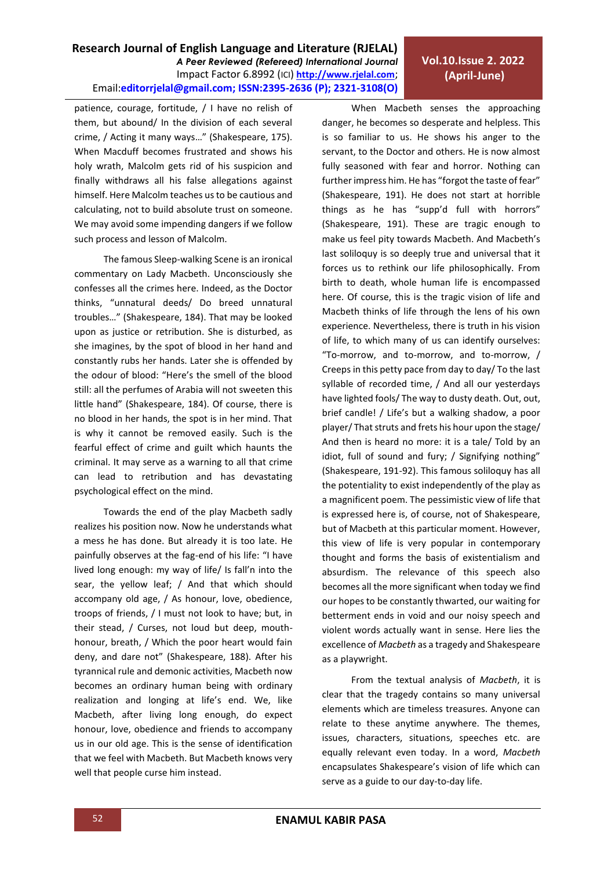**Research Journal of English Language and Literature (RJELAL)**

Email:**editorrjelal@gmail.com; ISSN:2395-2636 (P); 2321-3108(O)** 

*A Peer Reviewed (Refereed) International Journal* Impact Factor 6.8992 (ICI) **[http://www.rjelal.com](http://www.rjelal.com/)**;

The famous Sleep-walking Scene is an ironical commentary on Lady Macbeth. Unconsciously she confesses all the crimes here. Indeed, as the Doctor thinks, "unnatural deeds/ Do breed unnatural troubles…" (Shakespeare, 184). That may be looked upon as justice or retribution. She is disturbed, as she imagines, by the spot of blood in her hand and constantly rubs her hands. Later she is offended by the odour of blood: "Here's the smell of the blood still: all the perfumes of Arabia will not sweeten this little hand" (Shakespeare, 184). Of course, there is no blood in her hands, the spot is in her mind. That is why it cannot be removed easily. Such is the fearful effect of crime and guilt which haunts the criminal. It may serve as a warning to all that crime can lead to retribution and has devastating psychological effect on the mind.

patience, courage, fortitude, / I have no relish of them, but abound/ In the division of each several crime, / Acting it many ways…" (Shakespeare, 175). When Macduff becomes frustrated and shows his holy wrath, Malcolm gets rid of his suspicion and finally withdraws all his false allegations against

Towards the end of the play Macbeth sadly realizes his position now. Now he understands what a mess he has done. But already it is too late. He painfully observes at the fag-end of his life: "I have lived long enough: my way of life/ Is fall'n into the sear, the yellow leaf; / And that which should accompany old age, / As honour, love, obedience, troops of friends, / I must not look to have; but, in their stead, / Curses, not loud but deep, mouthhonour, breath, / Which the poor heart would fain deny, and dare not" (Shakespeare, 188). After his tyrannical rule and demonic activities, Macbeth now becomes an ordinary human being with ordinary realization and longing at life's end. We, like Macbeth, after living long enough, do expect honour, love, obedience and friends to accompany us in our old age. This is the sense of identification that we feel with Macbeth. But Macbeth knows very well that people curse him instead.

## **Vol.10.Issue 2. 2022 (April-June)**

When Macbeth senses the approaching danger, he becomes so desperate and helpless. This is so familiar to us. He shows his anger to the servant, to the Doctor and others. He is now almost fully seasoned with fear and horror. Nothing can further impress him. He has "forgot the taste of fear" (Shakespeare, 191). He does not start at horrible things as he has "supp'd full with horrors" (Shakespeare, 191). These are tragic enough to make us feel pity towards Macbeth. And Macbeth's last soliloquy is so deeply true and universal that it forces us to rethink our life philosophically. From birth to death, whole human life is encompassed here. Of course, this is the tragic vision of life and Macbeth thinks of life through the lens of his own experience. Nevertheless, there is truth in his vision of life, to which many of us can identify ourselves: "To-morrow, and to-morrow, and to-morrow, / Creeps in this petty pace from day to day/ To the last syllable of recorded time, / And all our yesterdays have lighted fools/ The way to dusty death. Out, out, brief candle! / Life's but a walking shadow, a poor player/ That struts and frets his hour upon the stage/ And then is heard no more: it is a tale/ Told by an idiot, full of sound and fury; / Signifying nothing" (Shakespeare, 191-92). This famous soliloquy has all the potentiality to exist independently of the play as a magnificent poem. The pessimistic view of life that is expressed here is, of course, not of Shakespeare, but of Macbeth at this particular moment. However, this view of life is very popular in contemporary thought and forms the basis of existentialism and absurdism. The relevance of this speech also becomes all the more significant when today we find our hopes to be constantly thwarted, our waiting for betterment ends in void and our noisy speech and violent words actually want in sense. Here lies the excellence of *Macbeth* as a tragedy and Shakespeare as a playwright.

From the textual analysis of *Macbeth*, it is clear that the tragedy contains so many universal elements which are timeless treasures. Anyone can relate to these anytime anywhere. The themes, issues, characters, situations, speeches etc. are equally relevant even today. In a word, *Macbeth* encapsulates Shakespeare's vision of life which can serve as a guide to our day-to-day life.